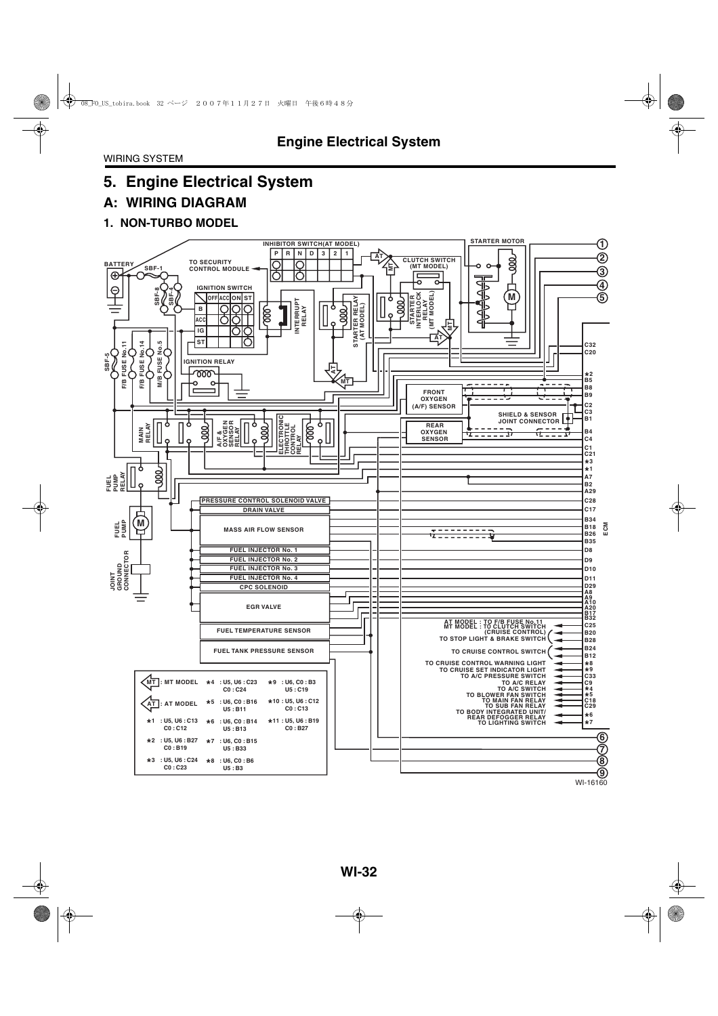# **A: WIRING DIAGRAM**

### **1. NON-TURBO MODEL**

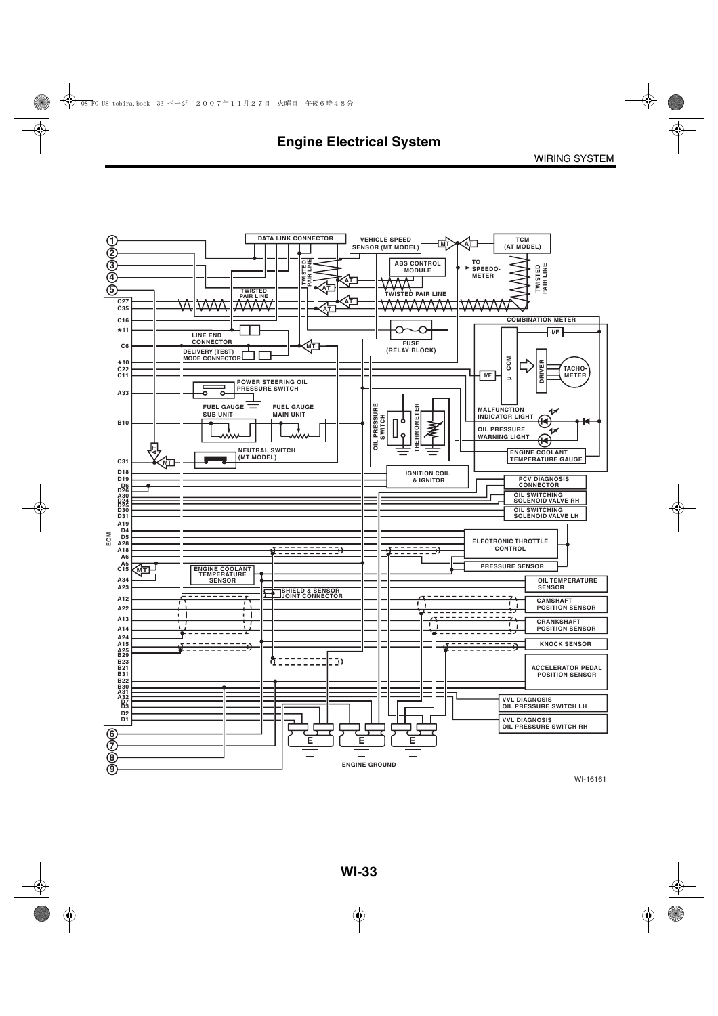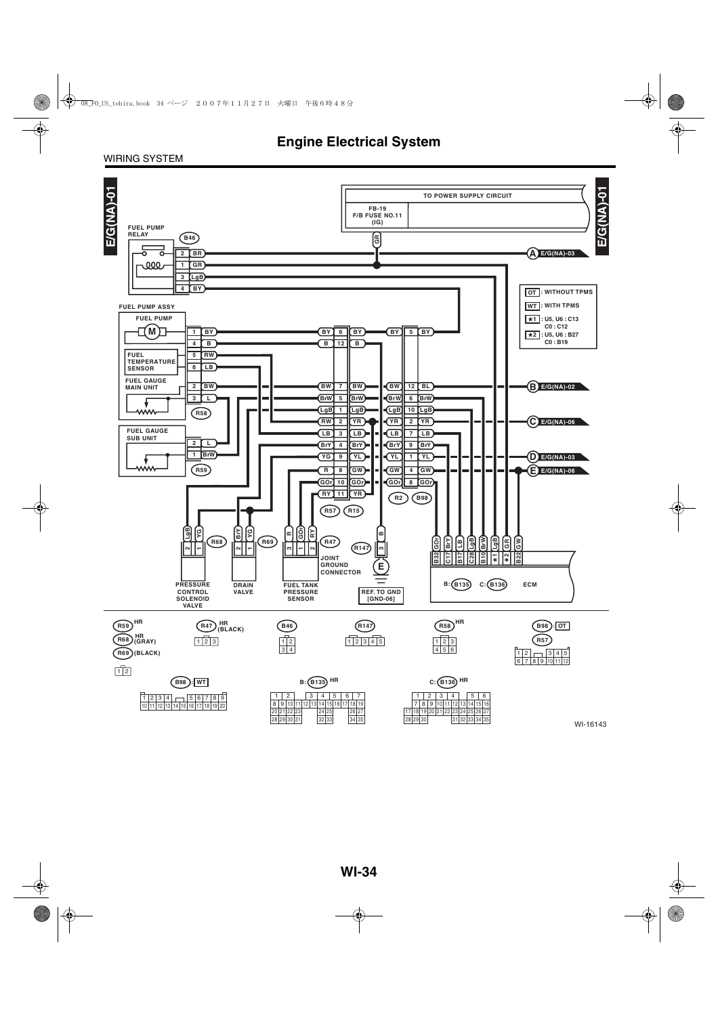### WIRING SYSTEM

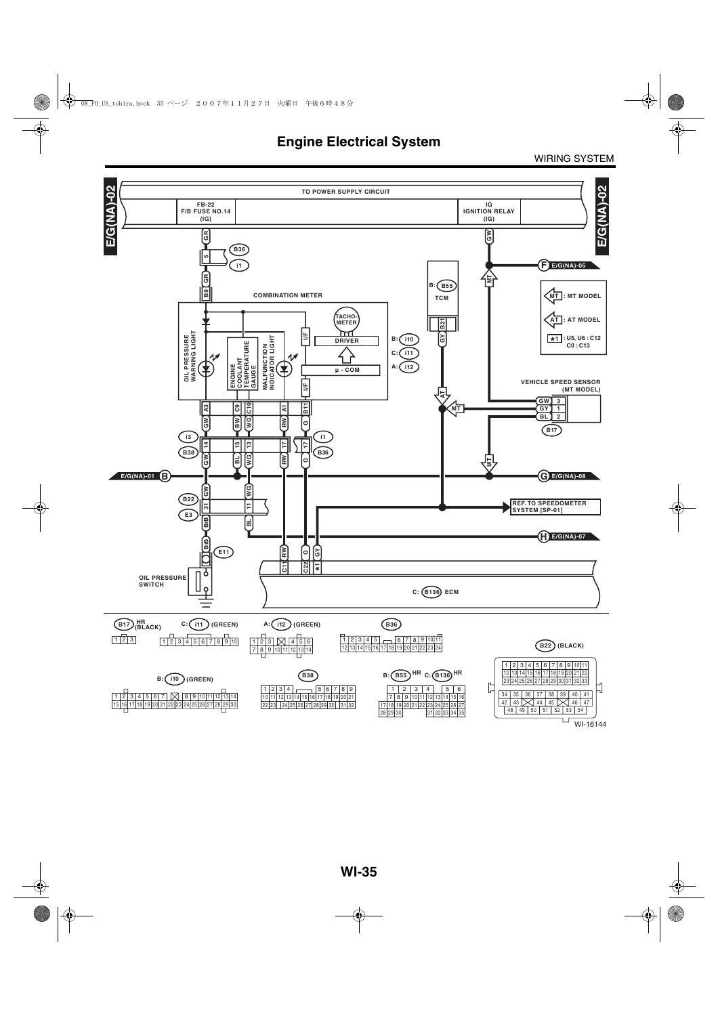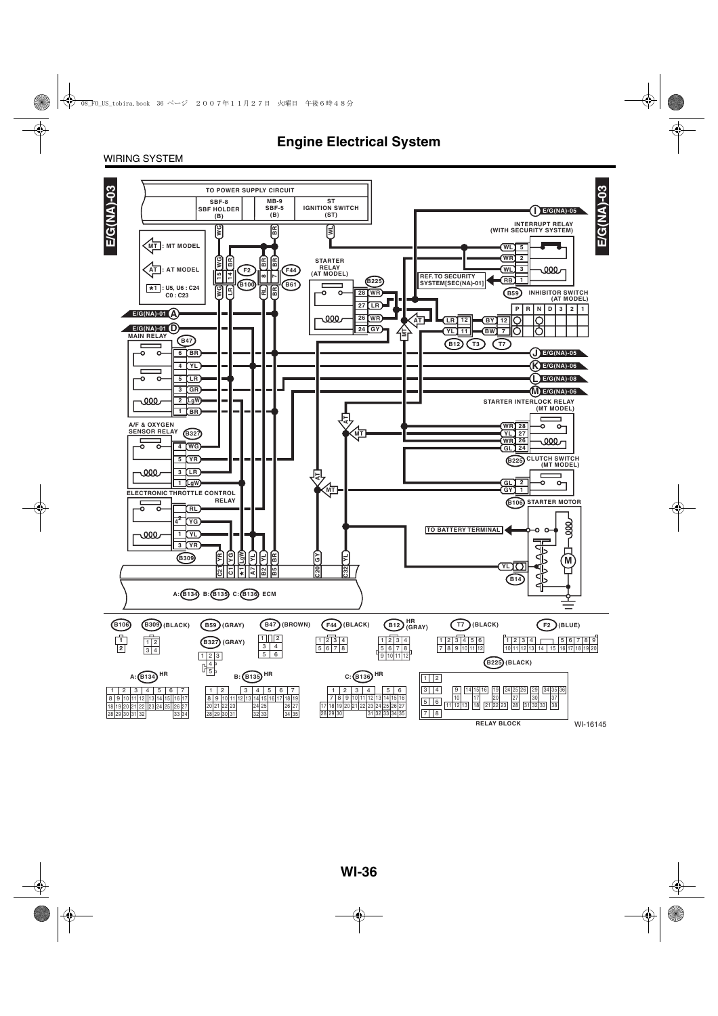### WIRING SYSTEM

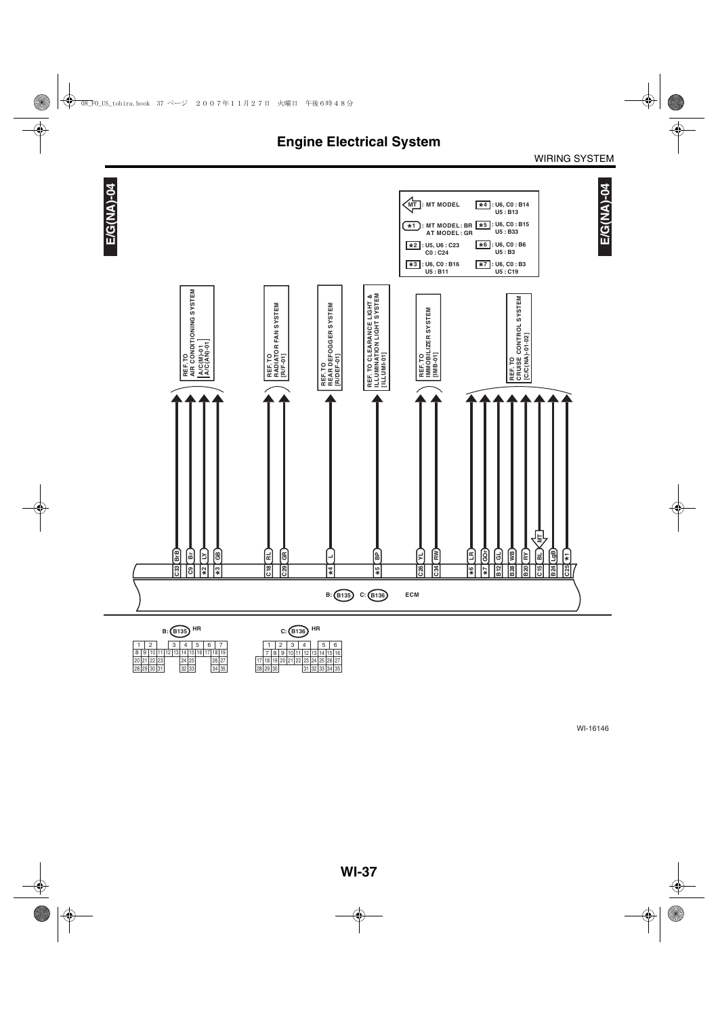

|  |  |             |  | 3 |                                   |       | 5 I | 6 |  |  |  |  |  |  |  |
|--|--|-------------|--|---|-----------------------------------|-------|-----|---|--|--|--|--|--|--|--|
|  |  |             |  |   | 8 9 10 11 12 13 14 15 16 17 18 19 |       |     |   |  |  |  |  |  |  |  |
|  |  | 20 21 22 23 |  |   |                                   |       |     |   |  |  |  |  |  |  |  |
|  |  | 28 29 30 31 |  |   |                                   | 32 33 |     |   |  |  |  |  |  |  |  |

| C:(B136 <i>)</i> |                            |  |  |                   |  |  |  |                                  |   |  |   |  |  |  |
|------------------|----------------------------|--|--|-------------------|--|--|--|----------------------------------|---|--|---|--|--|--|
|                  |                            |  |  | $2 \mid 3 \mid 4$ |  |  |  |                                  | 5 |  | 6 |  |  |  |
|                  | 7 8 9 10 11 12 13 14 15 16 |  |  |                   |  |  |  |                                  |   |  |   |  |  |  |
|                  |                            |  |  |                   |  |  |  | 17 18 19 20 21 22 23 24 25 26 27 |   |  |   |  |  |  |
| 28 29 30         |                            |  |  |                   |  |  |  | 31 32 33 34 35                   |   |  |   |  |  |  |
|                  |                            |  |  |                   |  |  |  |                                  |   |  |   |  |  |  |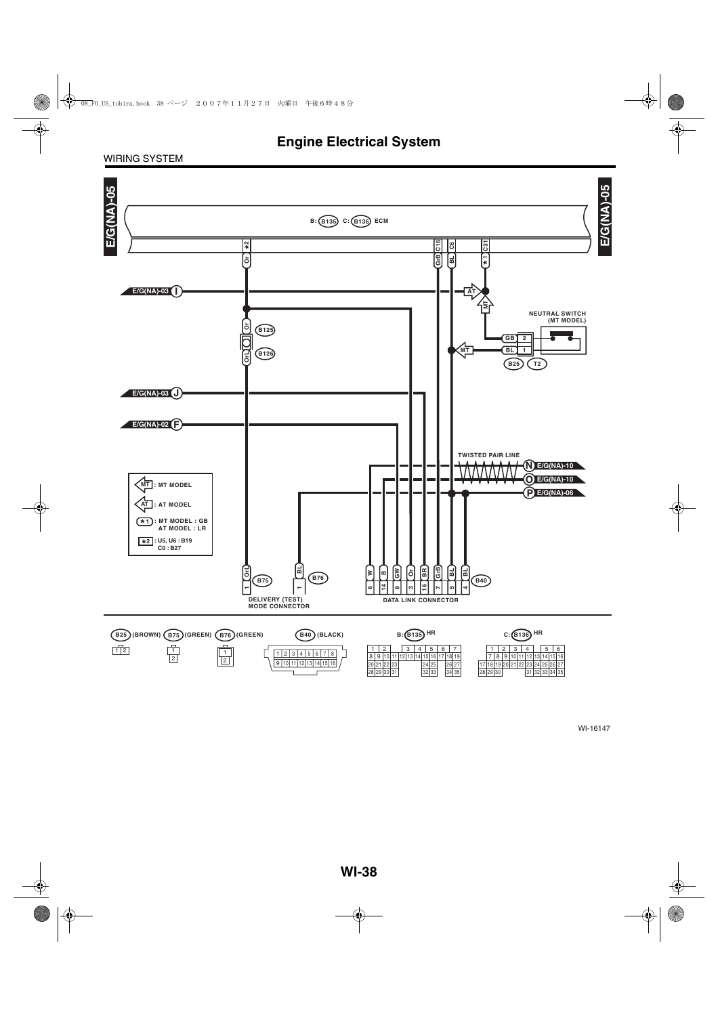### WIRING SYSTEM

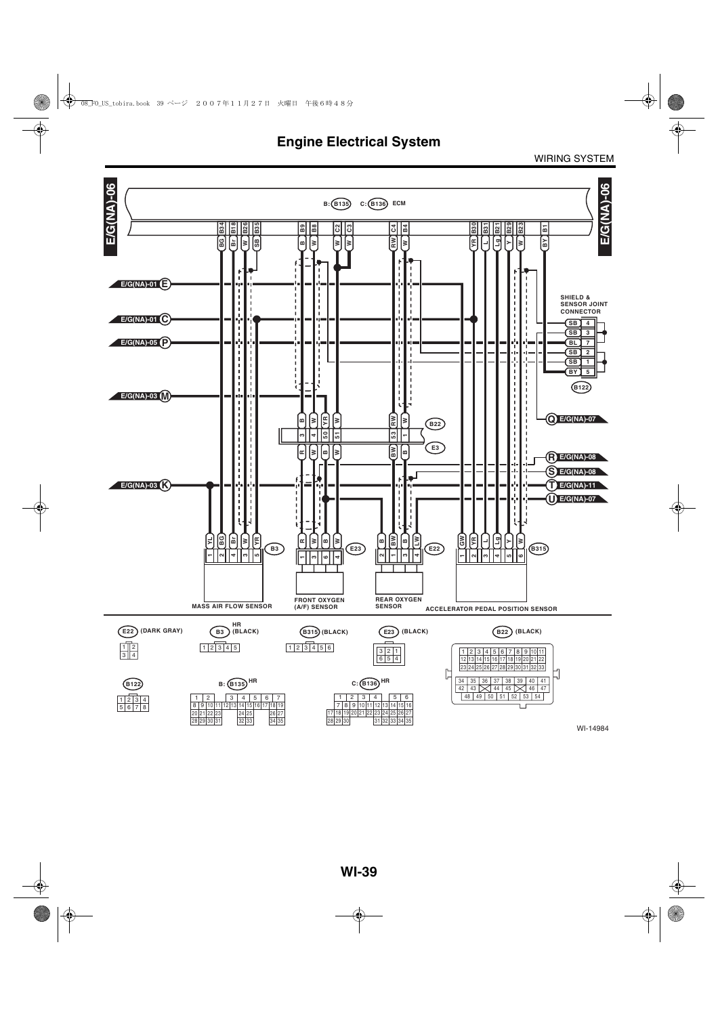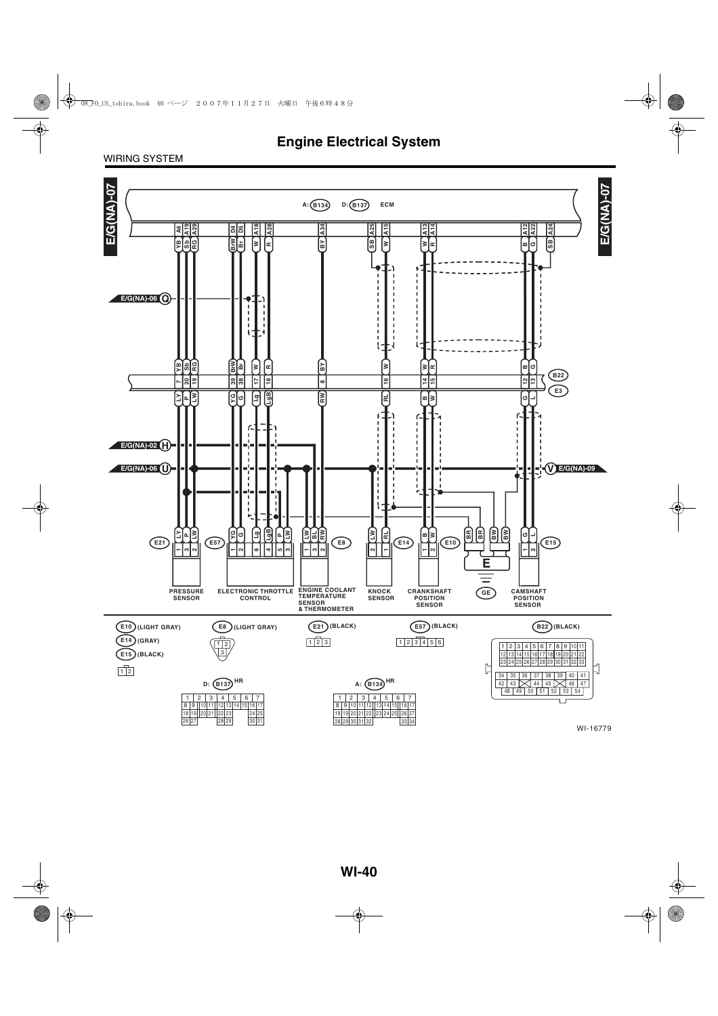### WIRING SYSTEM

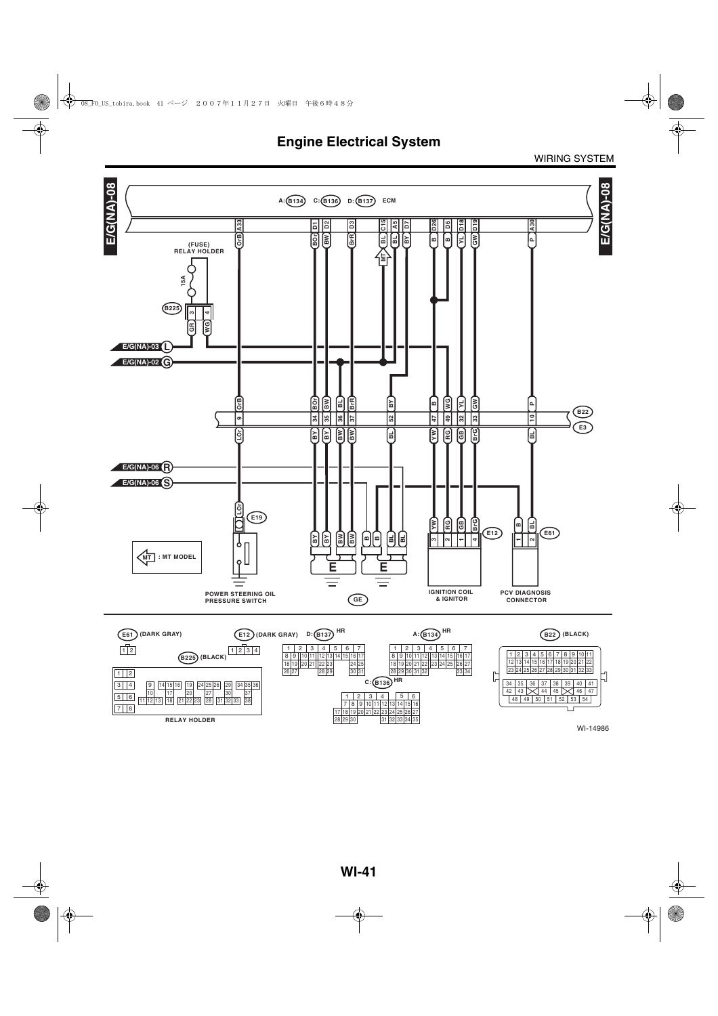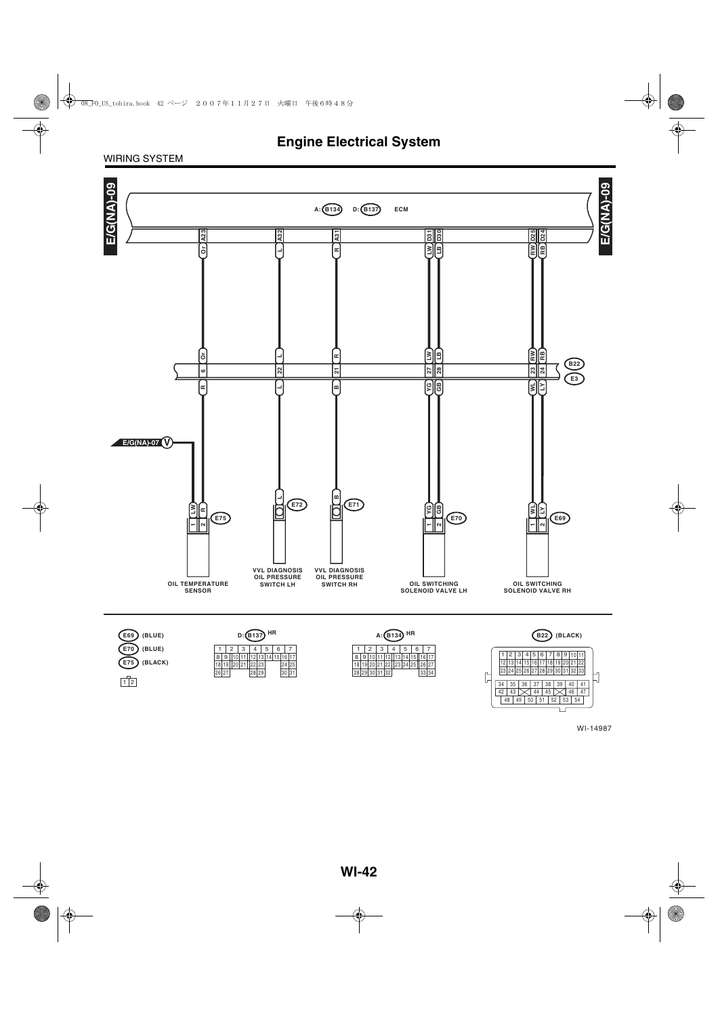### WIRING SYSTEM



WI-14987

 $\overline{\phantom{a}}$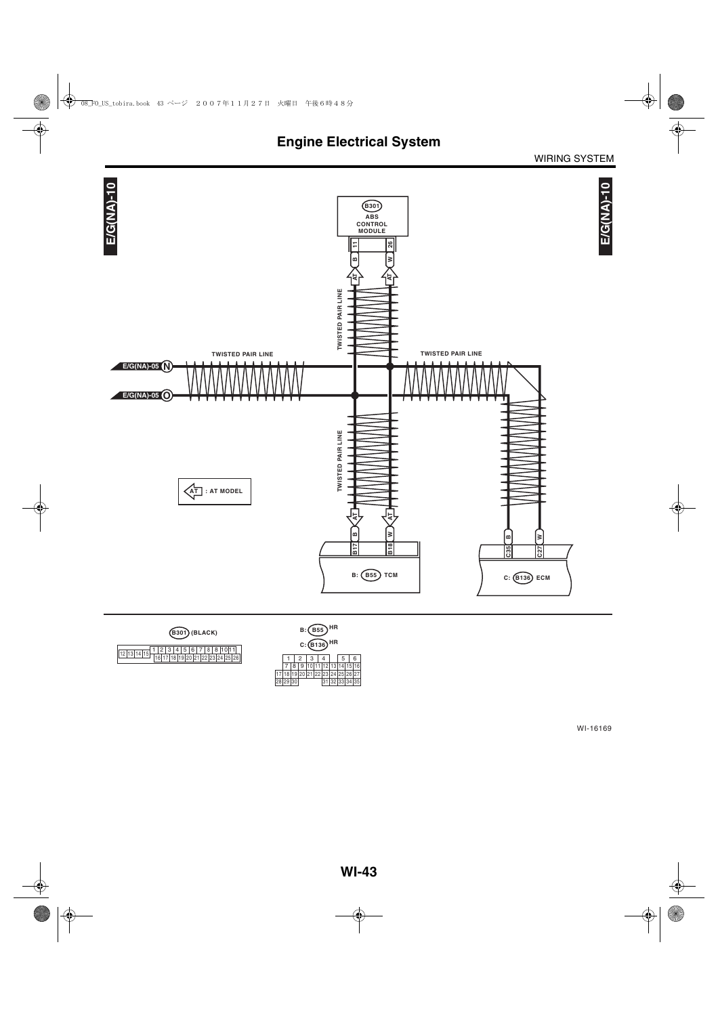





|          |                                  | B: (B55) |  | ΗR<br>$C: (B136)$ HR |                |   |
|----------|----------------------------------|----------|--|----------------------|----------------|---|
|          | $\overline{2}$                   | 3        |  |                      | 5 <sub>1</sub> | 6 |
|          | 8 9 10 11 12 13 14 15 16         |          |  |                      |                |   |
|          | 17 18 19 20 21 22 23 24 25 26 27 |          |  |                      |                |   |
| 28 29 30 |                                  |          |  | 31 32 33 34 35       |                |   |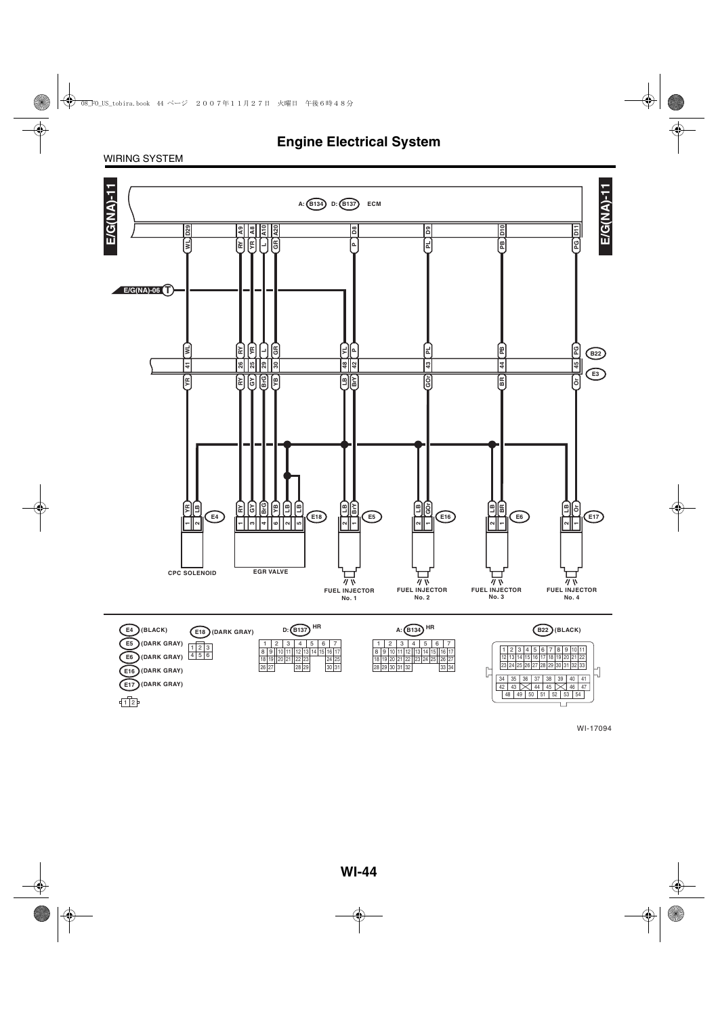### WIRING SYSTEM

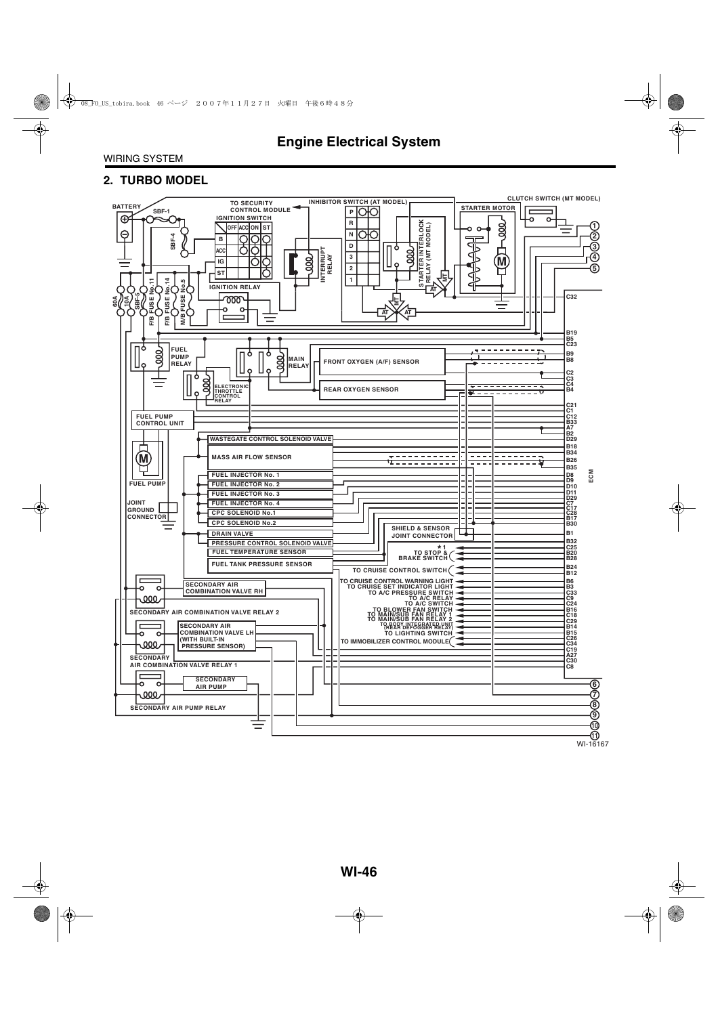### **2. TURBO MODEL**

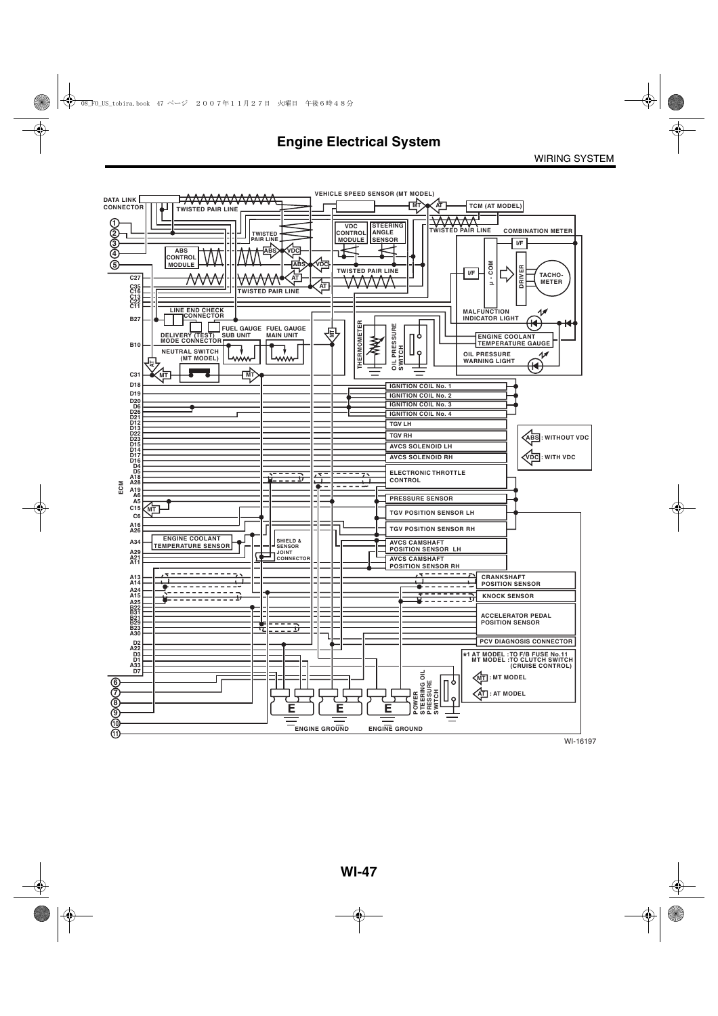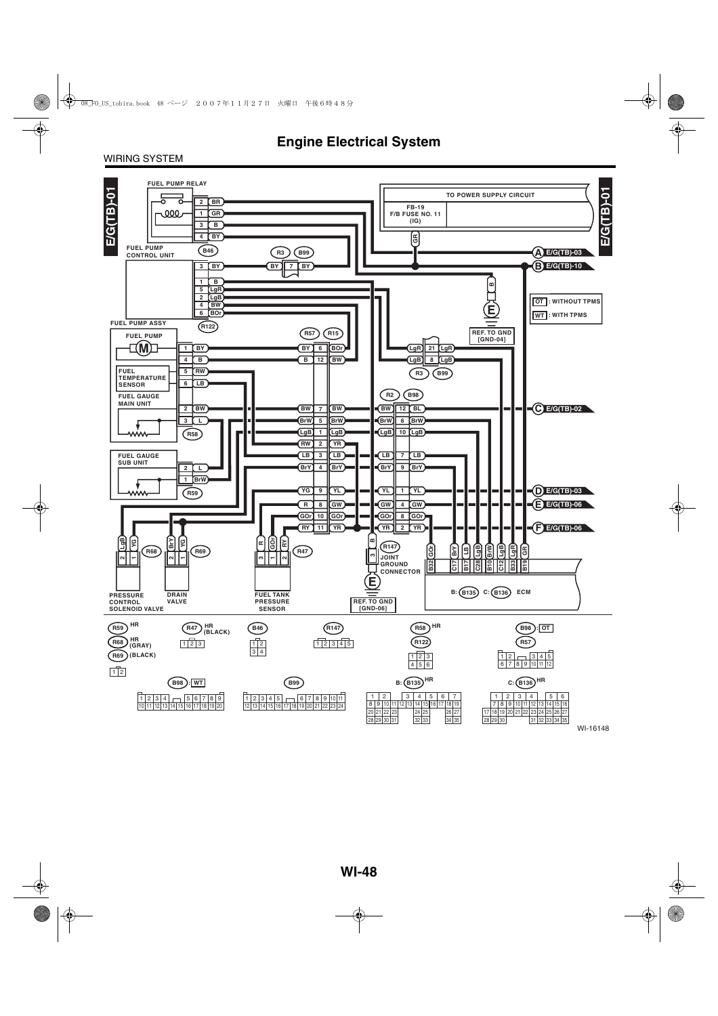### WIRING SYSTEM

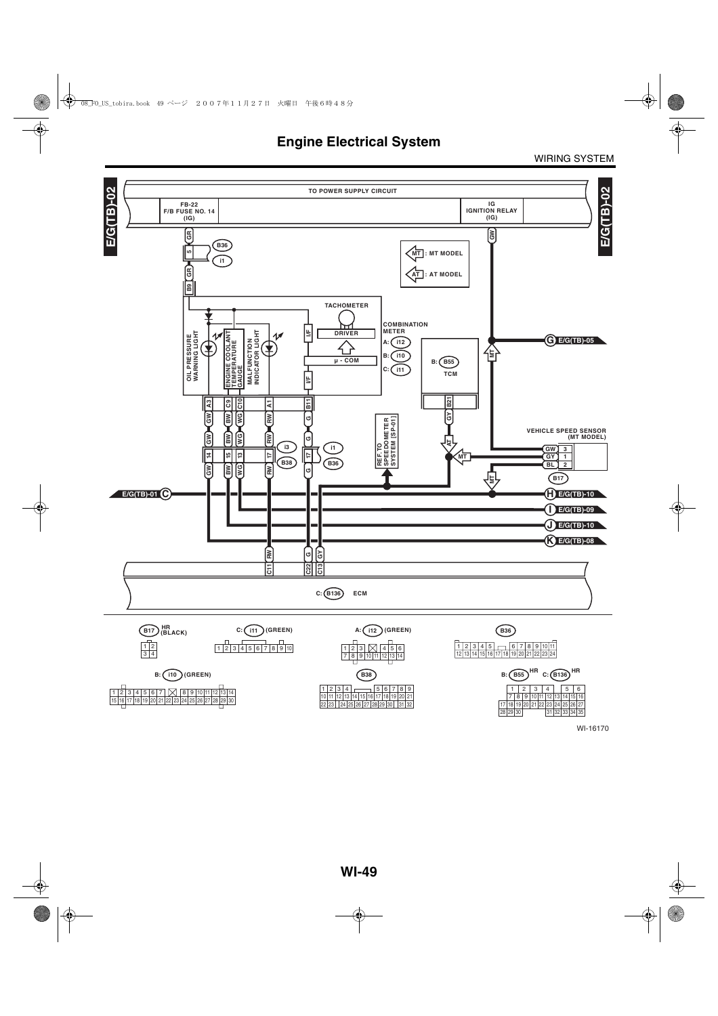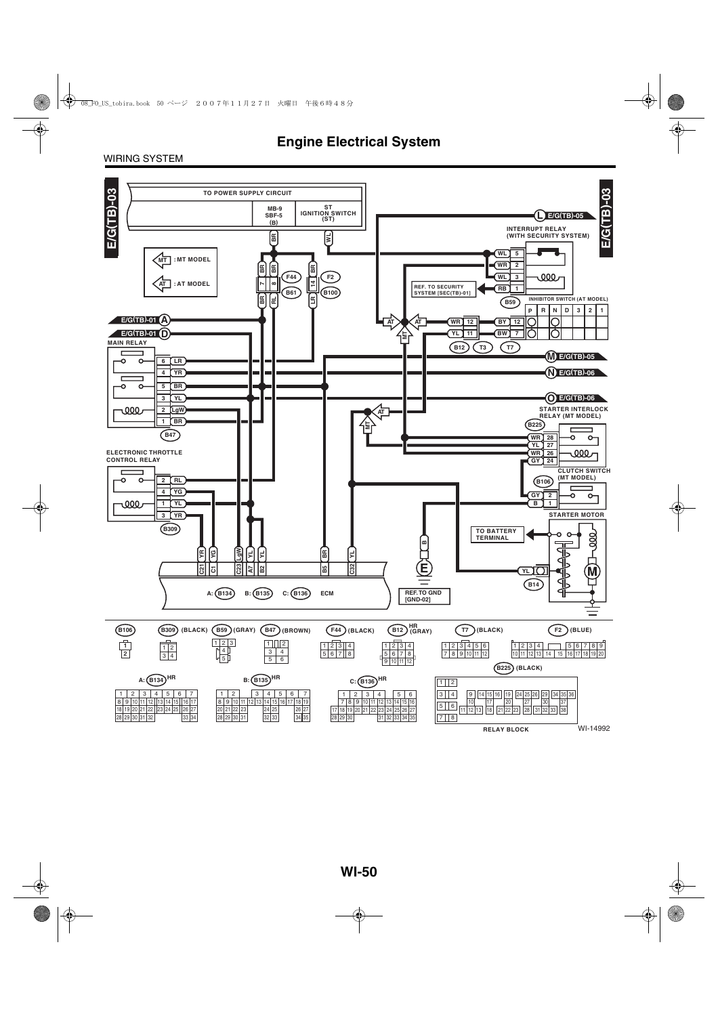### WIRING SYSTEM

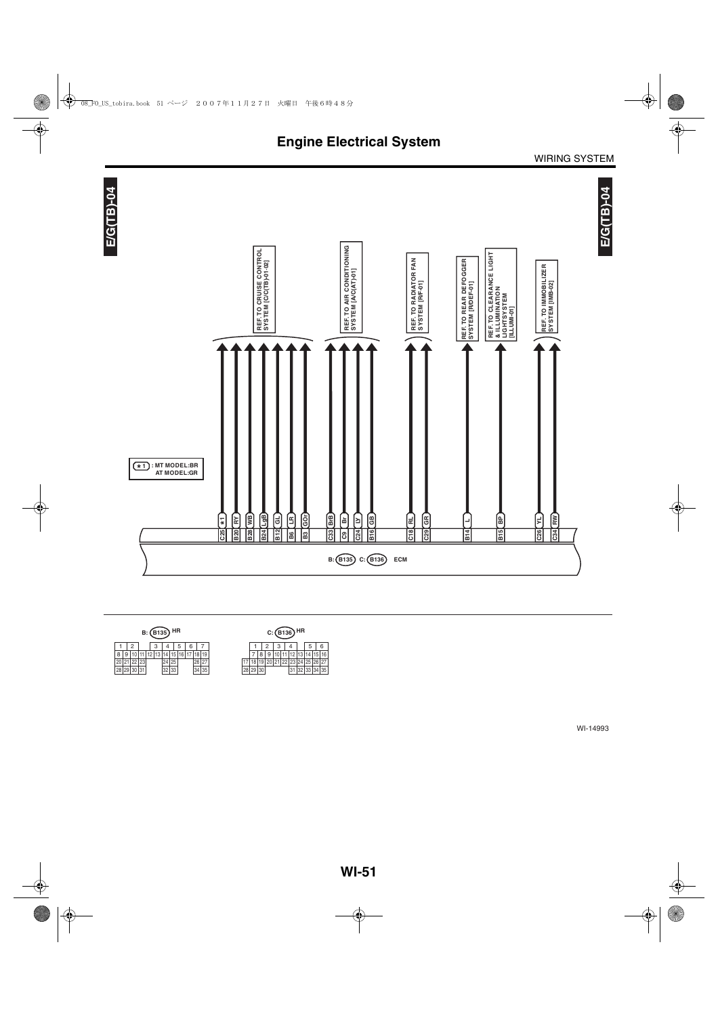



| B: (B135) HR |  |        |  |  |  |    |      |   |    |    |    | $C: (B136)$ HR |  |  |  |      |        |          |    |
|--------------|--|--------|--|--|--|----|------|---|----|----|----|----------------|--|--|--|------|--------|----------|----|
|              |  |        |  |  |  |    |      | 6 |    |    |    |                |  |  |  |      | h      |          |    |
| ٥            |  |        |  |  |  |    |      |   |    |    |    |                |  |  |  |      |        |          | 16 |
|              |  |        |  |  |  |    | 25   |   | 26 | 27 |    |                |  |  |  |      |        | 25 26 27 |    |
| no<br>20     |  | 290000 |  |  |  | ےں | טט ו |   | 34 | 35 | 20 | 29 30          |  |  |  | ےت ا | 199134 |          | 35 |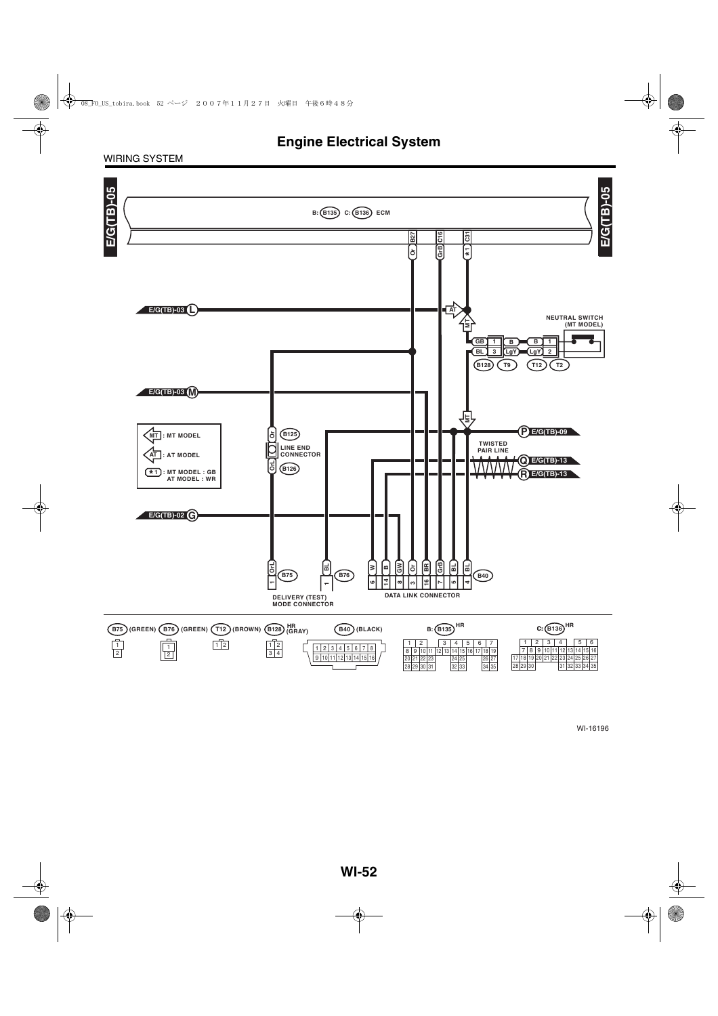WIRING SYSTEM

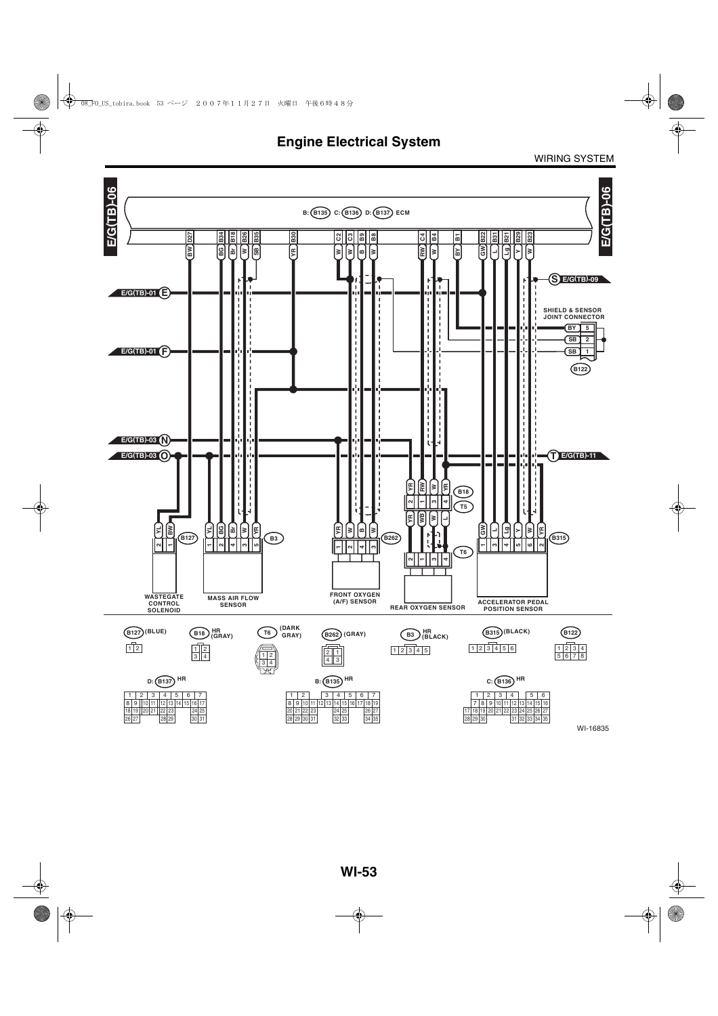**Engine Electrical System**

WIRING SYSTEM

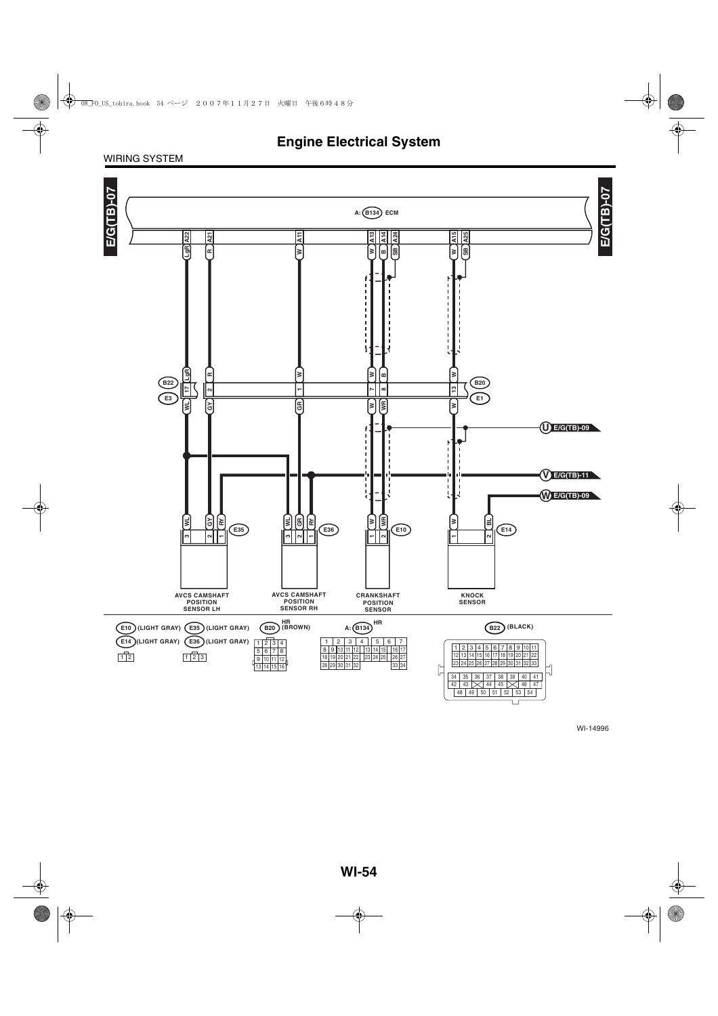### WIRING SYSTEM

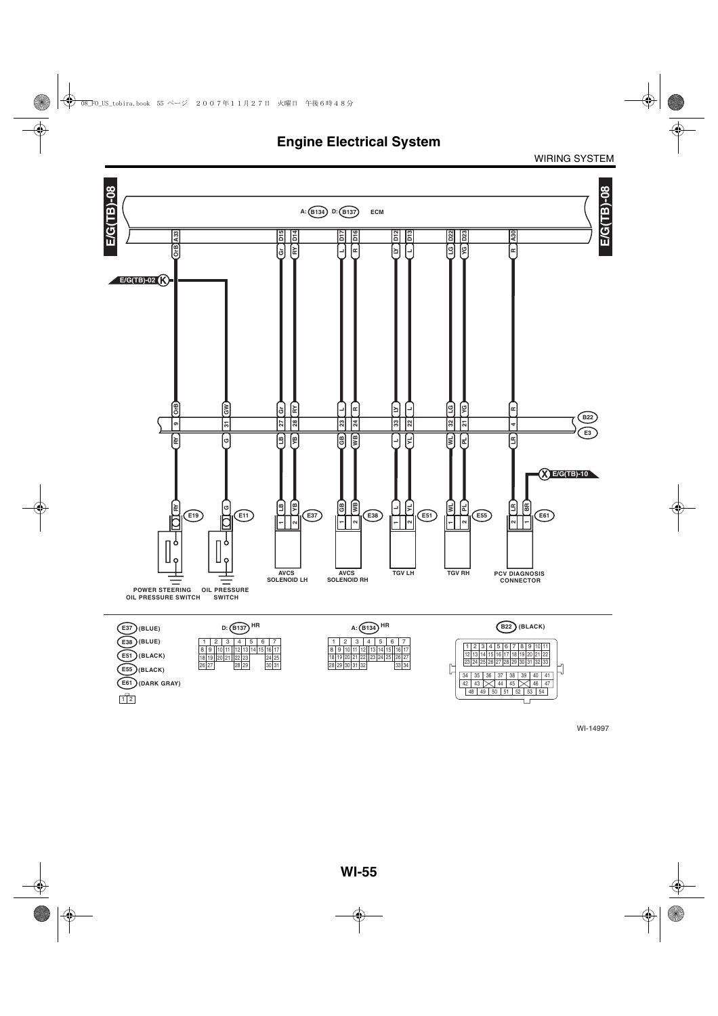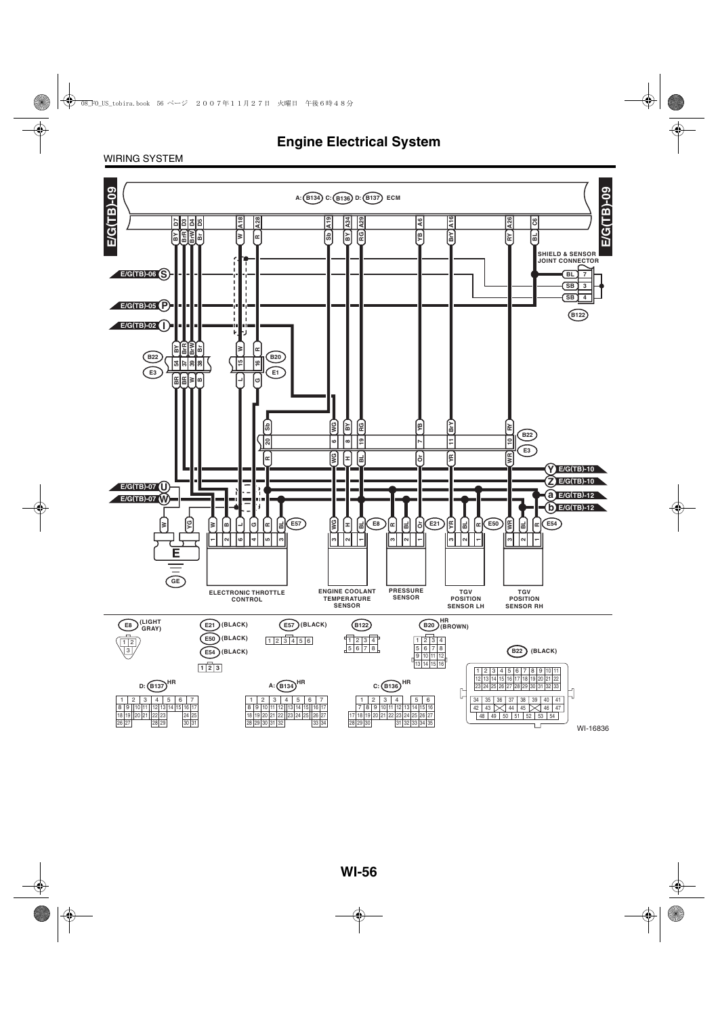### WIRING SYSTEM

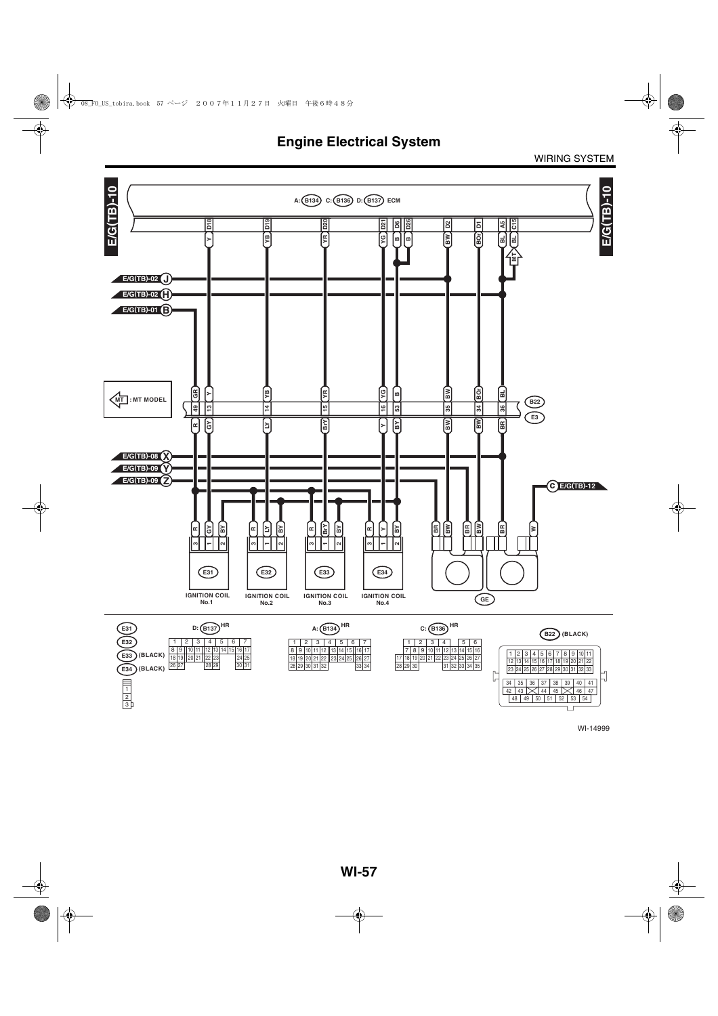

WI-14999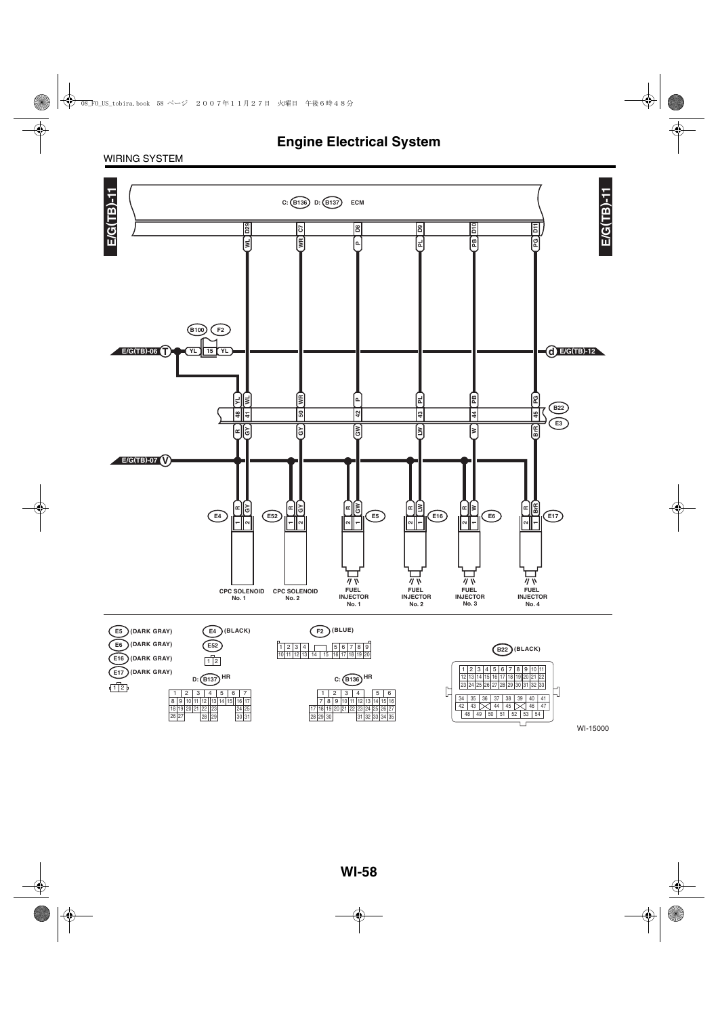### WIRING SYSTEM

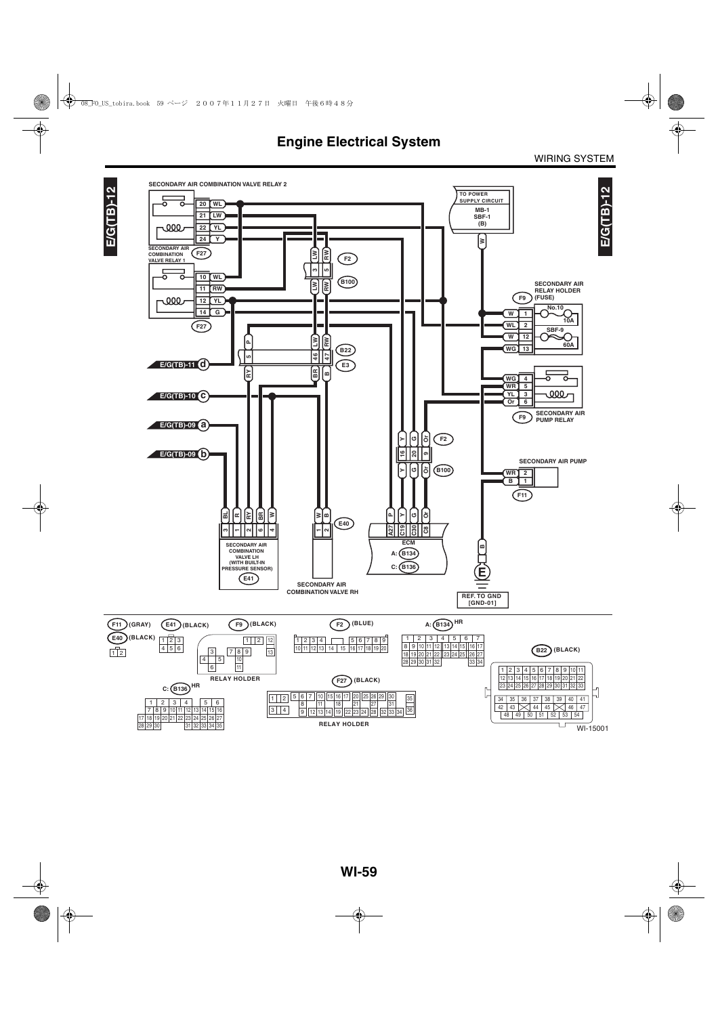WI-15001

ו ר



30 28 29 31 32

31 32 33 34 35